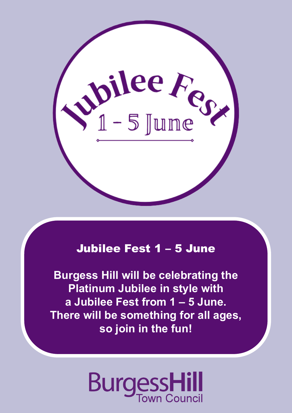

# Jubilee Fest 1 – 5 June

**Burgess Hill will be celebrating the Platinum Jubilee in style with a Jubilee Fest from 1 – 5 June. There will be something for all ages, so join in the fun!** 

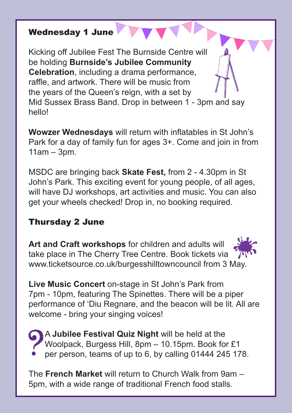#### Wednesday 1 June

Kicking off Jubilee Fest The Burnside Centre will be holding **Burnside's Jubilee Community Celebration**, including a drama performance, raffle, and artwork. There will be music from the years of the Queen's reign, with a set by Mid Sussex Brass Band. Drop in between 1 - 3pm and say hello!

**Wowzer Wednesdays** will return with inflatables in St John's Park for a day of family fun for ages 3+. Come and join in from 11am – 3pm.

MSDC are bringing back **Skate Fest,** from 2 - 4.30pm in St John's Park. This exciting event for young people, of all ages, will have DJ workshops, art activities and music. You can also get your wheels checked! Drop in, no booking required.

# Thursday 2 June

**Art and Craft workshops** for children and adults will take place in The Cherry Tree Centre. Book tickets via www.ticketsource.co.uk/burgesshilltowncouncil from 3 May.

**Live Music Concert** on-stage in St John's Park from 7pm - 10pm, featuring The Spinettes. There will be a piper performance of 'Diu Regnare, and the beacon will be lit. All are welcome - bring your singing voices!



 A **Jubilee Festival Quiz Night** will be held at the Woolpack, Burgess Hill, 8pm – 10.15pm. Book for £1 per person, teams of up to 6, by calling 01444 245 178.

The **French Market** will return to Church Walk from 9am – 5pm, with a wide range of traditional French food stalls.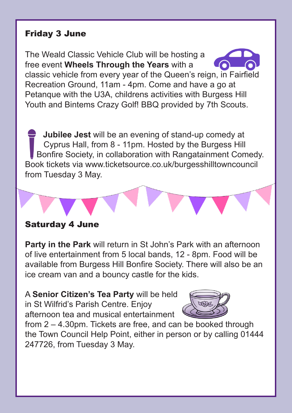#### Friday 3 June

The Weald Classic Vehicle Club will be hosting a free event **Wheels Through the Years** with a

classic vehicle from every year of the Queen's reign, in Fairfield Recreation Ground, 11am - 4pm. Come and have a go at Petanque with the U3A, childrens activities with Burgess Hill Youth and Bintems Crazy Golf! BBQ provided by 7th Scouts.

 **Jubilee Jest** will be an evening of stand-up comedy at Cyprus Hall, from 8 - 11pm. Hosted by the Burgess Hill Bonfire Society, in collaboration with Rangatainment Comedy. Book tickets via www.ticketsource.co.uk/burgesshilltowncouncil from Tuesday 3 May.

### Saturday 4 June

**Party in the Park** will return in St John's Park with an afternoon of live entertainment from 5 local bands, 12 - 8pm. Food will be available from Burgess Hill Bonfire Society. There will also be an ice cream van and a bouncy castle for the kids.

A **Senior Citizen's Tea Party** will be held in St Wilfrid's Parish Centre. Enjoy afternoon tea and musical entertainment



from 2 – 4.30pm. Tickets are free, and can be booked through the Town Council Help Point, either in person or by calling 01444 247726, from Tuesday 3 May.